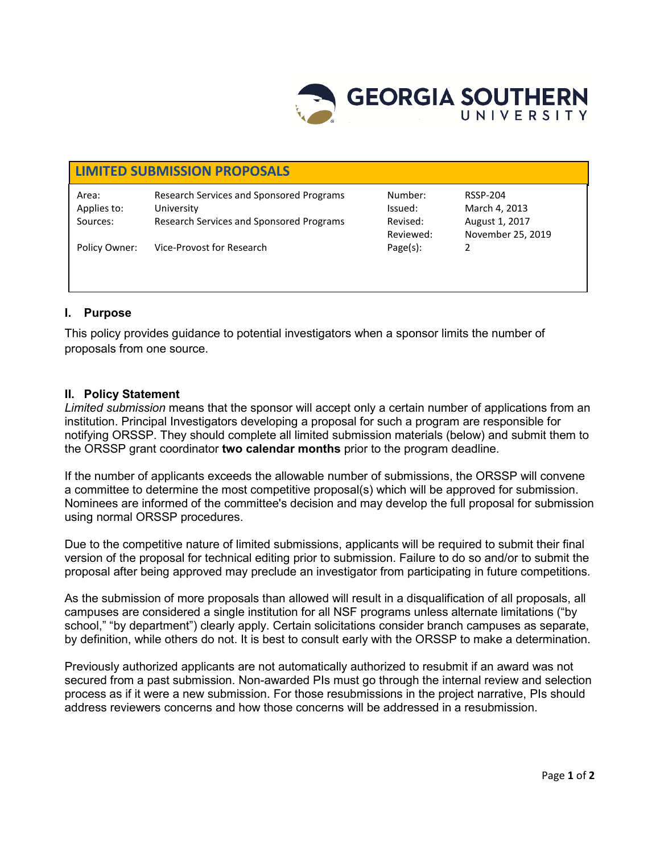

# **LIMITED SUBMISSION PROPOSALS** Area: Research Services and Sponsored Programs Number: RSSP-204 Applies to: University Issued: March 4, 2013 Sources: Research Services and Sponsored Programs Revised: August 1, 2017 Reviewed: November 25, 2019 Policy Owner: Vice-Provost for Research Page(s): 2

# **I. Purpose**

This policy provides guidance to potential investigators when a sponsor limits the number of proposals from one source.

## **II. Policy Statement**

*Limited submission* means that the sponsor will accept only a certain number of applications from an institution. Principal Investigators developing a proposal for such a program are responsible for notifying ORSSP. They should complete all limited submission materials (below) and submit them to the ORSSP grant coordinator **two calendar months** prior to the program deadline.

If the number of applicants exceeds the allowable number of submissions, the ORSSP will convene a committee to determine the most competitive proposal(s) which will be approved for submission. Nominees are informed of the committee's decision and may develop the full proposal for submission using normal ORSSP procedures.

Due to the competitive nature of limited submissions, applicants will be required to submit their final version of the proposal for technical editing prior to submission. Failure to do so and/or to submit the proposal after being approved may preclude an investigator from participating in future competitions.

As the submission of more proposals than allowed will result in a disqualification of all proposals, all campuses are considered a single institution for all NSF programs unless alternate limitations ("by school," "by department") clearly apply. Certain solicitations consider branch campuses as separate, by definition, while others do not. It is best to consult early with the ORSSP to make a determination.

Previously authorized applicants are not automatically authorized to resubmit if an award was not secured from a past submission. Non-awarded PIs must go through the internal review and selection process as if it were a new submission. For those resubmissions in the project narrative, PIs should address reviewers concerns and how those concerns will be addressed in a resubmission.